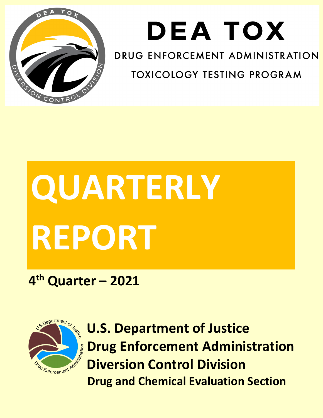

## **DEATOX**

DRUG ENFORCEMENT ADMINISTRATION

**TOXICOLOGY TESTING PROGRAM** 

# **QUARTERLY REPORT**

## **4th Quarter – 2021**



**U.S. Department of Justice Drug Enforcement Administration Diversion Control Division Drug and Chemical Evaluation Section**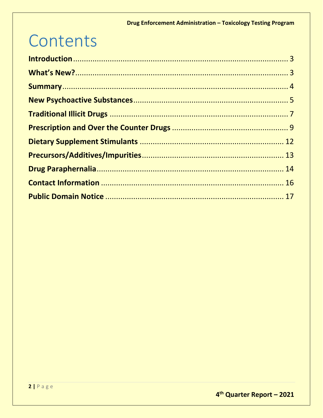## Contents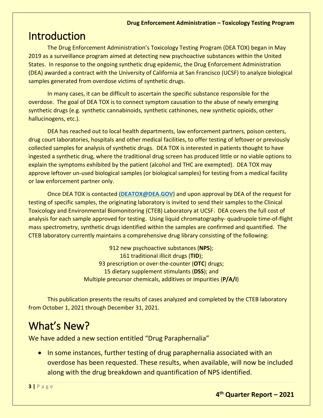## <span id="page-2-0"></span>Introduction

The Drug Enforcement Administration's Toxicology Testing Program (DEA TOX) began in May 2019 as a surveillance program aimed at detecting new psychoactive substances within the United States. In response to the ongoing synthetic drug epidemic, the Drug Enforcement Administration (DEA) awarded a contract with the University of California at San Francisco (UCSF) to analyze biological samples generated from overdose victims of synthetic drugs.

In many cases, it can be difficult to ascertain the specific substance responsible for the overdose. The goal of DEA TOX is to connect symptom causation to the abuse of newly emerging synthetic drugs (e.g. synthetic cannabinoids, synthetic cathinones, new synthetic opioids, other hallucinogens, etc.).

DEA has reached out to local health departments, law enforcement partners, poison centers, drug court laboratories, hospitals and other medical facilities, to offer testing of leftover or previously collected samples for analysis of synthetic drugs. DEA TOX is interested in patients thought to have ingested a synthetic drug, where the traditional drug screen has produced little or no viable options to explain the symptoms exhibited by the patient (alcohol and THC are exempted). DEA TOX may approve leftover un-used biological samples (or biological samples) for testing from a medical facility or law enforcement partner only.

Once DEA TOX is contacted (**[DEATOX@DEA.GOV](mailto:DEATOX@DEA.GOV)**) and upon approval by DEA of the request for testing of specific samples, the originating laboratory is invited to send their samples to the Clinical Toxicology and Environmental Biomonitoring (CTEB) Laboratory at UCSF. DEA covers the full cost of analysis for each sample approved for testing. Using liquid chromatography- quadrupole time-of-flight mass spectrometry, synthetic drugs identified within the samples are confirmed and quantified. The CTEB laboratory currently maintains a comprehensive drug library consisting of the following:

> 912 new psychoactive substances (**NPS**); 161 traditional illicit drugs (**TID**); 93 prescription or over-the-counter (**OTC**) drugs; 15 dietary supplement stimulants (**DSS**); and Multiple precursor chemicals, additives or impurities (**P/A/I**)

This publication presents the results of cases analyzed and completed by the CTEB laboratory from October 1, 2021 through December 31, 2021.

## <span id="page-2-1"></span>What's New?

We have added a new section entitled "Drug Paraphernalia"

• In some instances, further testing of drug paraphernalia associated with an overdose has been requested. These results, when available, will now be included along with the drug breakdown and quantification of NPS identified.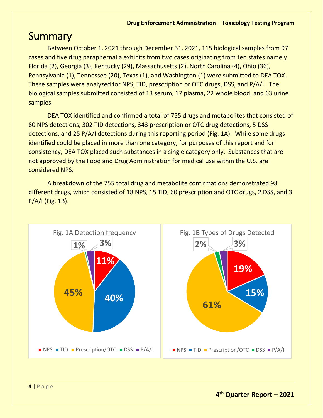## <span id="page-3-0"></span>**Summary**

Between October 1, 2021 through December 31, 2021, 115 biological samples from 97 cases and five drug paraphernalia exhibits from two cases originating from ten states namely Florida (2), Georgia (3), Kentucky (29), Massachusetts (2), North Carolina (4), Ohio (36), Pennsylvania (1), Tennessee (20), Texas (1), and Washington (1) were submitted to DEA TOX. These samples were analyzed for NPS, TID, prescription or OTC drugs, DSS, and P/A/I. The biological samples submitted consisted of 13 serum, 17 plasma, 22 whole blood, and 63 urine samples.

DEA TOX identified and confirmed a total of 755 drugs and metabolites that consisted of 80 NPS detections, 302 TID detections, 343 prescription or OTC drug detections, 5 DSS detections, and 25 P/A/I detections during this reporting period (Fig. 1A). While some drugs identified could be placed in more than one category, for purposes of this report and for consistency, DEA TOX placed such substances in a single category only. Substances that are not approved by the Food and Drug Administration for medical use within the U.S. are considered NPS.

A breakdown of the 755 total drug and metabolite confirmations demonstrated 98 different drugs, which consisted of 18 NPS, 15 TID, 60 prescription and OTC drugs, 2 DSS, and 3 P/A/I (Fig. 1B).

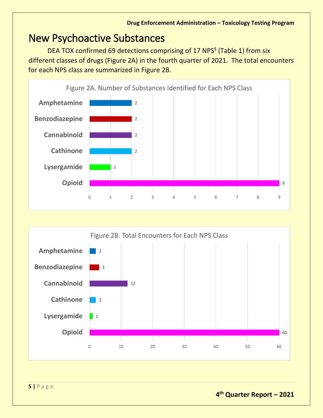## <span id="page-4-0"></span>New Psychoactive Substances

DEA TOX confirmed 69 detections comprising of 17 NPS<sup>§</sup> (Table 1) from six different classes of drugs (Figure 2A) in the fourth quarter of 2021. The total encounters for each NPS class are summarized in Figure 2B.



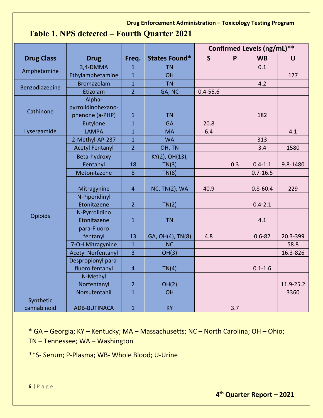#### **Table 1. NPS detected – Fourth Quarter 2021**

|                          |                           |                |                      | Confirmed Levels (ng/mL)** |     |              |           |
|--------------------------|---------------------------|----------------|----------------------|----------------------------|-----|--------------|-----------|
| <b>Drug Class</b>        | <b>Drug</b>               | Freq.          | <b>States Found*</b> | $\mathsf{S}$               | P   | <b>WB</b>    | $\cup$    |
|                          | 3,4-DMMA                  | $\overline{1}$ | <b>TN</b>            |                            |     | 0.1          |           |
| Amphetamine              | Ethylamphetamine          | $\mathbf{1}$   | OH                   |                            |     |              | 177       |
| Benzodiazepine           | <b>Bromazolam</b>         | $\mathbf{1}$   | <b>TN</b>            |                            |     | 4.2          |           |
|                          | Etizolam                  | $\overline{2}$ | GA, NC               | $0.4 - 55.6$               |     |              |           |
|                          | Alpha-                    |                |                      |                            |     |              |           |
| Cathinone                | pyrrolidinohexano-        |                |                      |                            |     |              |           |
|                          | phenone (a-PHP)           | $\mathbf{1}$   | <b>TN</b>            |                            |     | 182          |           |
|                          | Eutylone                  | $\mathbf{1}$   | <b>GA</b>            | 20.8                       |     |              |           |
| Lysergamide              | <b>LAMPA</b>              | $\overline{1}$ | <b>MA</b>            | 6.4                        |     |              | 4.1       |
|                          | 2-Methyl-AP-237           | $\overline{1}$ | <b>WA</b>            |                            |     | 313          |           |
|                          | <b>Acetyl Fentanyl</b>    | $\overline{2}$ | OH, TN               |                            |     | 3.4          | 1580      |
|                          | Beta-hydroxy              |                | KY(2), OH(13),       |                            |     |              |           |
|                          | Fentanyl                  | 18             | TN(3)                |                            | 0.3 | $0.4 - 1.1$  | 9.8-1480  |
|                          | Metonitazene              | 8              | TN(8)                |                            |     | $0.7 - 16.5$ |           |
|                          |                           |                |                      |                            |     |              |           |
|                          | Mitragynine               | $\overline{4}$ | <b>NC, TN(2), WA</b> | 40.9                       |     | $0.8 - 60.4$ | 229       |
|                          | N-Piperidinyl             |                |                      |                            |     |              |           |
|                          | Etonitazene               | $\overline{2}$ | TN(2)                |                            |     | $0.4 - 2.1$  |           |
| Opioids                  | N-Pyrrolidino             |                |                      |                            |     |              |           |
|                          | Etonitazene               | $\mathbf{1}$   | <b>TN</b>            |                            |     | 4.1          |           |
|                          | para-Fluoro               |                |                      |                            |     |              |           |
|                          | fentanyl                  | 13             | GA, OH(4), TN(8)     | 4.8                        |     | $0.6 - 82$   | 20.3-399  |
|                          | 7-OH Mitragynine          | $\mathbf{1}$   | <b>NC</b>            |                            |     |              | 58.8      |
|                          | <b>Acetyl Norfentanyl</b> | 3              | OH(3)                |                            |     |              | 16.3-826  |
|                          | Despropionyl para-        |                |                      |                            |     |              |           |
|                          | fluoro fentanyl           | $\overline{4}$ | TN(4)                |                            |     | $0.1 - 1.6$  |           |
|                          | N-Methyl                  |                |                      |                            |     |              |           |
|                          | Norfentanyl               | $\overline{2}$ | OH(2)                |                            |     |              | 11.9-25.2 |
|                          | Norsufentanil             | $\mathbf{1}$   | <b>OH</b>            |                            |     |              | 3360      |
| Synthetic<br>cannabinoid | <b>ADB-BUTINACA</b>       | $\mathbf{1}$   | KY                   |                            | 3.7 |              |           |

\* GA – Georgia; KY – Kentucky; MA – Massachusetts; NC – North Carolina; OH – Ohio; TN – Tennessee; WA – Washington

\*\*S- Serum; P-Plasma; WB- Whole Blood; U-Urine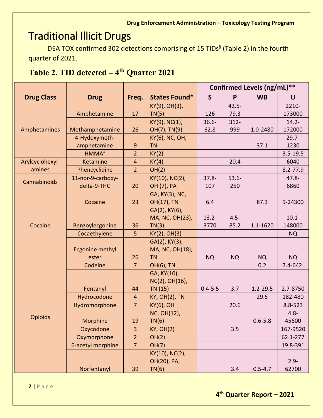## <span id="page-6-0"></span>Traditional Illicit Drugs

DEA TOX confirmed 302 detections comprising of 15 TIDs<sup>§</sup> (Table 2) in the fourth quarter of 2021.

#### **Table 2. TID detected – 4th Quarter 2021**

|                   |                        |                |                      | Confirmed Levels (ng/mL)** |           |              |              |
|-------------------|------------------------|----------------|----------------------|----------------------------|-----------|--------------|--------------|
| <b>Drug Class</b> | <b>Drug</b>            | Freq.          | States Found*        | $\mathsf{S}$               | P         | <b>WB</b>    | $\mathbf U$  |
|                   |                        |                | KY(9), OH(3),        |                            | $42.5 -$  |              | 2210-        |
|                   | Amphetamine            | 17             | TN(5)                | 126                        | 79.3      |              | 173000       |
|                   |                        |                | KY(9), NC(1),        | $36.6 -$                   | $312 -$   |              | $14.2 -$     |
| Amphetamines      | Methamphetamine        | 26             | OH(7), TN(9)         | 62.8                       | 999       | 1.0-2480     | 172000       |
|                   | 4-Hydoxymeth-          |                | KY(6), NC, OH,       |                            |           |              | $29.7 -$     |
|                   | amphetamine            | 9              | <b>TN</b>            |                            |           | 37.1         | 1230         |
|                   | HMMA <sup>#</sup>      | $\overline{2}$ | KY(2)                |                            |           |              | $3.5 - 19.5$ |
| Arylcyclohexyl-   | Ketamine               | $\overline{4}$ | KY(4)                |                            | 20.4      |              | 6040         |
| amines            | Phencyclidine          | $\overline{2}$ | OH(2)                |                            |           |              | $8.2 - 77.9$ |
| Cannabinoids      | 11-nor-9-carboxy-      |                | KY(10), NC(2),       | $37.8 -$                   | $53.6 -$  |              | $47.8 -$     |
|                   | delta-9-THC            | 20             | OH (7), PA           | 107                        | 250       |              | 6860         |
|                   |                        |                | GA, KY(3), NC,       |                            |           |              |              |
|                   | Cocaine                | 23             | OH(17), TN           | 6.4                        |           | 87.3         | 9-24300      |
|                   |                        |                | GA(2), KY(6),        |                            |           |              |              |
| Cocaine           |                        |                | MA, NC, OH(23),      | $13.2 -$                   | $4.5 -$   |              | $10.1 -$     |
|                   | Benzoylecgonine        | 36             | TN(3)                | 3770                       | 85.2      | 1.1-1620     | 148000       |
|                   | Cocaethylene           | 5              | KY(2), OH(3)         |                            |           |              | <b>NQ</b>    |
|                   |                        |                | GA(2), KY(3),        |                            |           |              |              |
|                   | <b>Ecgonine methyl</b> |                | MA, NC, OH(18),      |                            |           |              |              |
|                   | ester                  | 26             | <b>TN</b>            | <b>NQ</b>                  | <b>NQ</b> | <b>NQ</b>    | <b>NQ</b>    |
|                   | Codeine                | $\overline{7}$ | <b>OH(6), TN</b>     |                            |           | 0.2          | 7.4-642      |
|                   |                        |                | GA, KY(10),          |                            |           |              |              |
|                   |                        |                | NC(2), OH(16),       |                            |           |              |              |
|                   | Fentanyl               | 44             | TN (15)              | $0.4 - 5.5$                | 3.7       | $1.2 - 29.5$ | 2.7-8750     |
|                   | Hydrocodone            | $\overline{4}$ | <b>KY, OH(2), TN</b> |                            |           | 29.5         | 182-480      |
|                   | Hydromorphone          | $\overline{7}$ | <b>KY(6), OH</b>     |                            | 20.6      |              | 8.8-523      |
| Opioids           |                        |                | NC, OH(12),          |                            |           |              | $4.8 -$      |
|                   | Morphine               | 19             | TN(6)                |                            |           | $0.6 - 5.8$  | 45600        |
|                   | Oxycodone              | $\overline{3}$ | <b>KY, OH(2)</b>     |                            | 3.5       |              | 167-9520     |
|                   | Oxymorphone            | $\overline{2}$ | OH(2)                |                            |           |              | 62.1-277     |
|                   | 6-acetyl morphine      | $\overline{7}$ | OH(7)                |                            |           |              | 19.8-391     |
|                   |                        |                | KY(10), NC(2),       |                            |           |              |              |
|                   |                        |                | OH(20), PA,          |                            |           |              | $2.9 -$      |
|                   | Norfentanyl            | 39             | TN(6)                |                            | 3.4       | $0.5 - 4.7$  | 62700        |

**7 |** Page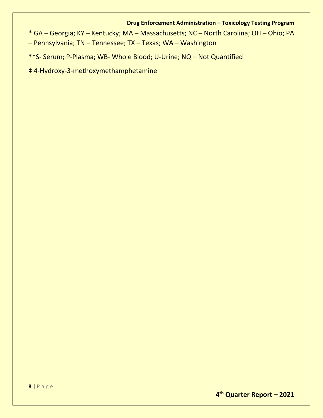\* GA – Georgia; KY – Kentucky; MA – Massachusetts; NC – North Carolina; OH – Ohio; PA

– Pennsylvania; TN – Tennessee; TX – Texas; WA – Washington

\*\*S- Serum; P-Plasma; WB- Whole Blood; U-Urine; NQ – Not Quantified

‡ 4-Hydroxy-3-methoxymethamphetamine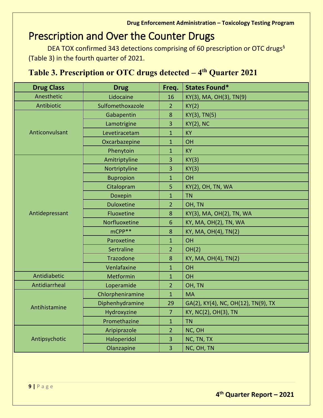## <span id="page-8-0"></span>Prescription and Over the Counter Drugs

DEA TOX confirmed 343 detections comprising of 60 prescription or OTC drugs<sup>§</sup> (Table 3) in the fourth quarter of 2021.

#### **Table 3. Prescription or OTC drugs detected – 4th Quarter 2021**

| <b>Drug Class</b> | <b>Drug</b>       | Freq.           | <b>States Found*</b>                |
|-------------------|-------------------|-----------------|-------------------------------------|
| Anesthetic        | Lidocaine         | 16              | KY(3), MA, OH(3), TN(9)             |
| Antibiotic        | Sulfomethoxazole  | $\overline{2}$  | KY(2)                               |
|                   | Gabapentin        | 8               | KY(3), TN(5)                        |
|                   | Lamotrigine       | 3               | $KY(2)$ , NC                        |
| Anticonvulsant    | Levetiracetam     | $\mathbf{1}$    | <b>KY</b>                           |
|                   | Oxcarbazepine     | $\mathbf{1}$    | OH                                  |
|                   | Phenytoin         | $\mathbf{1}$    | KY                                  |
|                   | Amitriptyline     | 3               | KY(3)                               |
|                   | Nortriptyline     | 3               | KY(3)                               |
|                   | <b>Bupropion</b>  | $\mathbf{1}$    | OH                                  |
|                   | Citalopram        | 5               | KY(2), OH, TN, WA                   |
|                   | Doxepin           | $\mathbf{1}$    | <b>TN</b>                           |
|                   | <b>Duloxetine</b> | $\overline{2}$  | OH, TN                              |
| Antidepressant    | Fluoxetine        | 8               | KY(3), MA, OH(2), TN, WA            |
|                   | Norfluoxetine     | $6\phantom{1}6$ | KY, MA, OH(2), TN, WA               |
|                   | mCPP**            | 8               | KY, MA, OH(4), TN(2)                |
|                   | Paroxetine        | $\overline{1}$  | OH                                  |
|                   | Sertraline        | $\overline{2}$  | OH(2)                               |
|                   | Trazodone         | 8               | KY, MA, OH(4), TN(2)                |
|                   | Venlafaxine       | $\mathbf{1}$    | OH                                  |
| Antidiabetic      | Metformin         | $\mathbf{1}$    | OH                                  |
| Antidiarrheal     | Loperamide        | $\overline{2}$  | OH, TN                              |
|                   | Chlorpheniramine  | $\mathbf{1}$    | <b>MA</b>                           |
| Antihistamine     | Diphenhydramine   | 29              | GA(2), KY(4), NC, OH(12), TN(9), TX |
|                   | Hydroxyzine       | $\overline{7}$  | KY, NC(2), OH(3), TN                |
|                   | Promethazine      | $\mathbf 1$     | <b>TN</b>                           |
|                   | Aripiprazole      | $\overline{2}$  | NC, OH                              |
| Antipsychotic     | Haloperidol       | 3               | NC, TN, TX                          |
|                   | Olanzapine        | 3               | NC, OH, TN                          |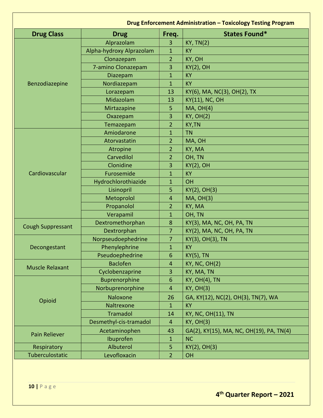|                          |                          |                         | <b>Drug Enforcement Administration - Toxicology Testing Program</b> |
|--------------------------|--------------------------|-------------------------|---------------------------------------------------------------------|
| <b>Drug Class</b>        | <b>Drug</b>              | Freq.                   | <b>States Found*</b>                                                |
|                          | Alprazolam               | 3                       | <b>KY, TN(2)</b>                                                    |
|                          | Alpha-hydroxy Alprazolam | 1                       | <b>KY</b>                                                           |
|                          | Clonazepam               | $\overline{2}$          | KY, OH                                                              |
|                          | 7-amino Clonazepam       | 3                       | $KY(2)$ , OH                                                        |
|                          | Diazepam                 | $\mathbf{1}$            | <b>KY</b>                                                           |
| Benzodiazepine           | Nordiazepam              | $\mathbf{1}$            | <b>KY</b>                                                           |
|                          | Lorazepam                | 13                      | KY(6), MA, NC(3), OH(2), TX                                         |
|                          | Midazolam                | 13                      | <b>KY(11), NC, OH</b>                                               |
|                          | Mirtazapine              | 5                       | $MA$ , $OH(4)$                                                      |
|                          | Oxazepam                 | 3                       | <b>KY, OH(2)</b>                                                    |
|                          | Temazepam                | $\overline{2}$          | <b>KY,TN</b>                                                        |
|                          | Amiodarone               | $\mathbf{1}$            | <b>TN</b>                                                           |
|                          | Atorvastatin             | $\overline{2}$          | MA, OH                                                              |
|                          | Atropine                 | $\overline{2}$          | KY, MA                                                              |
|                          | Carvedilol               | $\overline{2}$          | OH, TN                                                              |
|                          | Clonidine                | 3                       | $KY(2)$ , OH                                                        |
| Cardiovascular           | Furosemide               | $\mathbf{1}$            | <b>KY</b>                                                           |
|                          | Hydrochlorothiazide      | $\mathbf{1}$            | OH                                                                  |
|                          | Lisinopril               | 5                       | $KY(2)$ , OH $(3)$                                                  |
|                          | Metoprolol               | 4                       | <b>MA, OH(3)</b>                                                    |
|                          | Propanolol               | $\overline{2}$          | KY, MA                                                              |
|                          | Verapamil                | $\mathbf{1}$            | OH, TN                                                              |
|                          | Dextromethorphan         | 8                       | KY(3), MA, NC, OH, PA, TN                                           |
| <b>Cough Suppressant</b> | Dextrorphan              | 7                       | KY(2), MA, NC, OH, PA, TN                                           |
|                          | Norpseudoephedrine       | 7                       | KY(3), OH(3), TN                                                    |
| Decongestant             | Phenylephrine            | $\mathbf{1}$            | <b>KY</b>                                                           |
|                          | Pseudoephedrine          | $\boldsymbol{6}$        | <b>KY(5), TN</b>                                                    |
| <b>Muscle Relaxant</b>   | <b>Baclofen</b>          | 4                       | <b>KY, NC, OH(2)</b>                                                |
|                          | Cyclobenzaprine          | 3                       | KY, MA, TN                                                          |
|                          | <b>Buprenorphine</b>     | $6\phantom{1}6$         | <b>KY, OH(4), TN</b>                                                |
|                          | Norbuprenorphine         | $\overline{4}$          | <b>KY, OH(3)</b>                                                    |
| Opioid                   | Naloxone                 | 26                      | GA, KY(12), NC(2), OH(3), TN(7), WA                                 |
|                          | Naltrexone               | $\mathbf{1}$            | <b>KY</b>                                                           |
|                          | <b>Tramadol</b>          | 14                      | <b>KY, NC, OH(11), TN</b>                                           |
|                          | Desmethyl-cis-tramadol   | $\overline{\mathbf{4}}$ | KY, OH(3)                                                           |
| Pain Reliever            | Acetaminophen            | 43                      | GA(2), KY(15), MA, NC, OH(19), PA, TN(4)                            |
|                          | Ibuprofen                | 1                       | <b>NC</b>                                                           |
| Respiratory              | Albuterol                | 5                       | $KY(2)$ , OH $(3)$                                                  |
| Tuberculostatic          | Levofloxacin             | $\overline{2}$          | <b>OH</b>                                                           |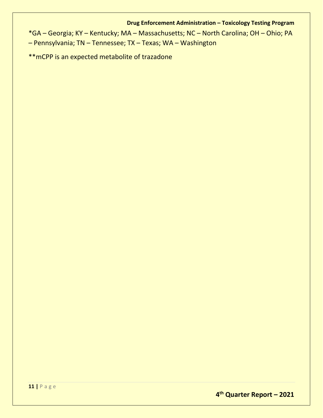\*GA – Georgia; KY – Kentucky; MA – Massachusetts; NC – North Carolina; OH – Ohio; PA – Pennsylvania; TN – Tennessee; TX – Texas; WA – Washington

\*\*mCPP is an expected metabolite of trazadone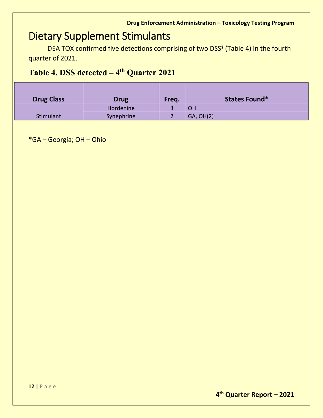## <span id="page-11-0"></span>Dietary Supplement Stimulants

DEA TOX confirmed five detections comprising of two DSS<sup>§</sup> (Table 4) in the fourth quarter of 2021.

#### **Table 4. DSS detected – 4th Quarter 2021**

| <b>Drug Class</b> | <b>Drug</b> | Freq. | <b>States Found*</b> |
|-------------------|-------------|-------|----------------------|
|                   | Hordenine   |       | OH                   |
| Stimulant         | Synephrine  |       | GA, OH(2)            |

\*GA – Georgia; OH – Ohio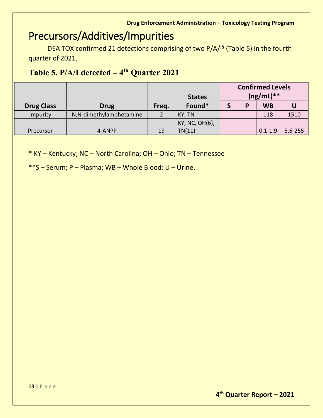## <span id="page-12-0"></span>Precursors/Additives/Impurities

DEA TOX confirmed 21 detections comprising of two P/A/I<sup>§</sup> (Table 5) in the fourth quarter of 2021.

#### **Table 5. P/A/I detected – 4th Quarter 2021**

|                   |                          |       | <b>States</b>  | <b>Confirmed Levels</b><br>$(ng/mL)**$ |   |             |             |
|-------------------|--------------------------|-------|----------------|----------------------------------------|---|-------------|-------------|
| <b>Drug Class</b> | <b>Drug</b>              | Freq. | Found*         |                                        | Б | <b>WB</b>   |             |
| Impurity          | N, N-dimethylamphetamine |       | KY, TN         |                                        |   | 118         | 1510        |
|                   |                          |       | KY, NC, OH(6), |                                        |   |             |             |
| Precursor         | 4-ANPP                   | 19    | TN(11)         |                                        |   | $0.1 - 1.9$ | $5.6 - 255$ |

\* KY – Kentucky; NC – North Carolina; OH – Ohio; TN – Tennessee

\*\*S – Serum; P – Plasma; WB – Whole Blood; U – Urine.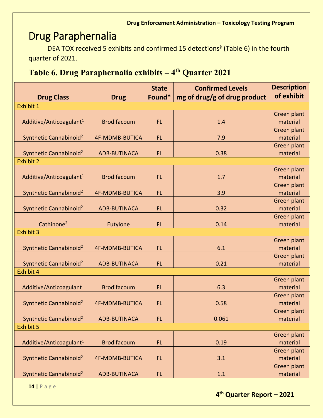## <span id="page-13-0"></span>Drug Paraphernalia

DEA TOX received 5 exhibits and confirmed 15 detections<sup>§</sup> (Table 6) in the fourth quarter of 2021.

#### **Table 6. Drug Paraphernalia exhibits – 4th Quarter 2021**

| <b>Drug Class</b>                                      | <b>Drug</b>           | <b>State</b><br>Found* | <b>Confirmed Levels</b><br>mg of drug/g of drug product | <b>Description</b><br>of exhibit |
|--------------------------------------------------------|-----------------------|------------------------|---------------------------------------------------------|----------------------------------|
| Exhibit 1                                              |                       |                        |                                                         |                                  |
|                                                        |                       |                        |                                                         | Green plant                      |
| Additive/Anticoagulant <sup>1</sup>                    | <b>Brodifacoum</b>    | FL.                    | 1.4                                                     | material                         |
|                                                        |                       |                        |                                                         | Green plant                      |
| Synthetic Cannabinoid <sup>2</sup>                     | <b>4F-MDMB-BUTICA</b> | FL.                    | 7.9                                                     | material                         |
|                                                        |                       |                        |                                                         | Green plant                      |
| Synthetic Cannabinoid <sup>2</sup><br><b>Exhibit 2</b> | <b>ADB-BUTINACA</b>   | FL.                    | 0.38                                                    | material                         |
|                                                        |                       |                        |                                                         | Green plant                      |
| Additive/Anticoagulant <sup>1</sup>                    | <b>Brodifacoum</b>    | FL.                    | 1.7                                                     | material                         |
|                                                        |                       |                        |                                                         | Green plant                      |
| Synthetic Cannabinoid <sup>2</sup>                     | <b>4F-MDMB-BUTICA</b> | <b>FL</b>              | 3.9                                                     | material                         |
|                                                        |                       |                        |                                                         | Green plant                      |
| Synthetic Cannabinoid <sup>2</sup>                     | <b>ADB-BUTINACA</b>   | <b>FL</b>              | 0.32                                                    | material                         |
|                                                        |                       |                        |                                                         | Green plant                      |
| Cathinone <sup>2</sup>                                 | Eutylone              | FL.                    | 0.14                                                    | material                         |
| Exhibit 3                                              |                       |                        |                                                         |                                  |
|                                                        |                       |                        |                                                         | Green plant                      |
| Synthetic Cannabinoid <sup>2</sup>                     | <b>4F-MDMB-BUTICA</b> | FL.                    | 6.1                                                     | material                         |
| Synthetic Cannabinoid <sup>2</sup>                     | <b>ADB-BUTINACA</b>   | FL.                    | 0.21                                                    | Green plant<br>material          |
| Exhibit 4                                              |                       |                        |                                                         |                                  |
|                                                        |                       |                        |                                                         | Green plant                      |
| Additive/Anticoagulant <sup>1</sup>                    | <b>Brodifacoum</b>    | FL.                    | 6.3                                                     | material                         |
|                                                        |                       |                        |                                                         | Green plant                      |
| Synthetic Cannabinoid <sup>2</sup>                     | <b>4F-MDMB-BUTICA</b> | FL.                    | 0.58                                                    | material                         |
|                                                        |                       |                        |                                                         | Green plant                      |
| Synthetic Cannabinoid <sup>2</sup>                     | <b>ADB-BUTINACA</b>   | FL.                    | 0.061                                                   | material                         |
| <b>Exhibit 5</b>                                       |                       |                        |                                                         |                                  |
|                                                        |                       |                        |                                                         | Green plant                      |
| Additive/Anticoagulant <sup>1</sup>                    | <b>Brodifacoum</b>    | FL.                    | 0.19                                                    | material                         |
|                                                        |                       |                        |                                                         | Green plant                      |
| Synthetic Cannabinoid <sup>2</sup>                     | <b>4F-MDMB-BUTICA</b> | FL.                    | 3.1                                                     | material                         |
| Synthetic Cannabinoid <sup>2</sup>                     | <b>ADB-BUTINACA</b>   | FL.                    | 1.1                                                     | Green plant<br>material          |
|                                                        |                       |                        |                                                         |                                  |

**14 |** Page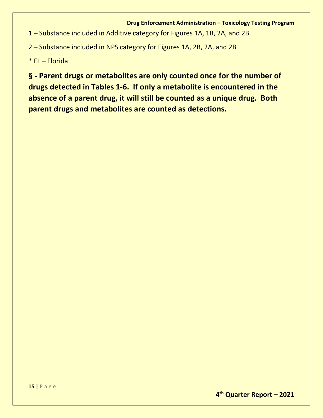1 – Substance included in Additive category for Figures 1A, 1B, 2A, and 2B

2 – Substance included in NPS category for Figures 1A, 2B, 2A, and 2B

\* FL – Florida

**§ - Parent drugs or metabolites are only counted once for the number of drugs detected in Tables 1-6. If only a metabolite is encountered in the absence of a parent drug, it will still be counted as a unique drug. Both parent drugs and metabolites are counted as detections.**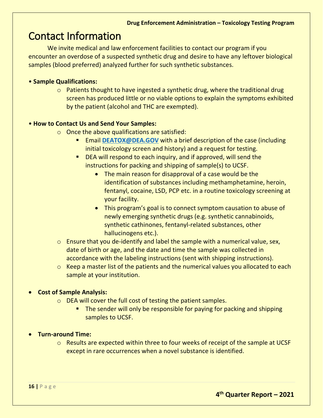### <span id="page-15-0"></span>Contact Information

We invite medical and law enforcement facilities to contact our program if you encounter an overdose of a suspected synthetic drug and desire to have any leftover biological samples (blood preferred) analyzed further for such synthetic substances.

#### • **Sample Qualifications:**

 $\circ$  Patients thought to have ingested a synthetic drug, where the traditional drug screen has produced little or no viable options to explain the symptoms exhibited by the patient (alcohol and THC are exempted).

#### • **How to Contact Us and Send Your Samples:**

- $\circ$  Once the above qualifications are satisfied:
	- Email **[DEATOX@DEA.GOV](mailto:DEATOX@DEA.GOV)** with a brief description of the case (including initial toxicology screen and history) and a request for testing.
	- DEA will respond to each inquiry, and if approved, will send the instructions for packing and shipping of sample(s) to UCSF.
		- The main reason for disapproval of a case would be the identification of substances including methamphetamine, heroin, fentanyl, cocaine, LSD, PCP etc. in a routine toxicology screening at your facility.
		- This program's goal is to connect symptom causation to abuse of newly emerging synthetic drugs (e.g. synthetic cannabinoids, synthetic cathinones, fentanyl-related substances, other hallucinogens etc.).
- $\circ$  Ensure that you de-identify and label the sample with a numerical value, sex, date of birth or age, and the date and time the sample was collected in accordance with the labeling instructions (sent with shipping instructions).
- o Keep a master list of the patients and the numerical values you allocated to each sample at your institution.

#### • **Cost of Sample Analysis:**

- o DEA will cover the full cost of testing the patient samples.
	- The sender will only be responsible for paying for packing and shipping samples to UCSF.

#### • **Turn-around Time:**

o Results are expected within three to four weeks of receipt of the sample at UCSF except in rare occurrences when a novel substance is identified.